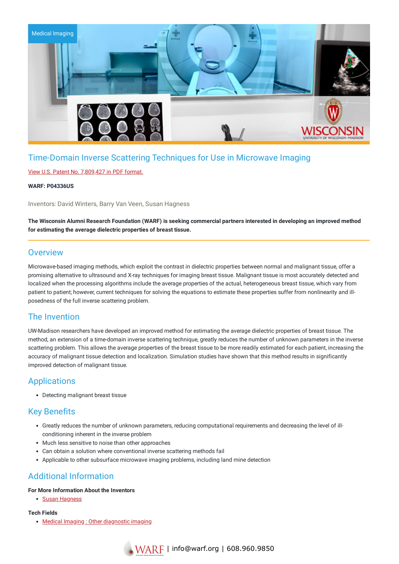

# Time-Domain Inverse Scattering Techniques for Use in Microwave Imaging

### View U.S. Patent No. [7,809,427](https://www.warf.org/wp-content/uploads/technologies/ipstatus/P04336US.PDF) in PDF format.

#### **WARF: P04336US**

Inventors: David Winters, Barry Van Veen, Susan Hagness

The Wisconsin Alumni Research Foundation (WARF) is seeking commercial partners interested in developing an improved method **for estimating the average dielectric properties of breast tissue.**

### **Overview**

Microwave-based imaging methods, which exploit the contrast in dielectric properties between normal and malignant tissue, offer a promising alternative to ultrasound and X-ray techniques for imaging breast tissue. Malignant tissue is most accurately detected and localized when the processing algorithms include the average properties of the actual, heterogeneous breast tissue, which vary from patient to patient; however, current techniques for solving the equations to estimate these properties suffer from nonlinearity and illposedness of the full inverse scattering problem.

# The Invention

UW-Madison researchers have developed an improved method for estimating the average dielectric properties of breast tissue. The method, an extension of a time-domain inverse scattering technique, greatly reduces the number of unknown parameters in the inverse scattering problem. This allows the average properties of the breast tissue to be more readily estimated for each patient, increasing the accuracy of malignant tissue detection and localization. Simulation studies have shown that this method results in significantly improved detection of malignant tissue.

## Applications

Detecting malignant breast tissue

## Key Benefits

- Greatly reduces the number of unknown parameters, reducing computational requirements and decreasing the level of illconditioning inherent in the inverse problem
- Much less sensitive to noise than other approaches
- Can obtain a solution where conventional inverse scattering methods fail
- Applicable to other subsurface microwave imaging problems, including land mine detection

# Additional Information

#### **For More Information About the Inventors**

• Susan [Hagness](https://wisc.discovery.academicanalytics.com/scholar/277363/HAGNESS-SUSAN)

#### **Tech Fields**

• Medical Imaging : Other [diagnostic](https://www.warf.org/search-results/?s_tech_category=other-diagnostic-imaging&searchwp=&search-technology=1) imaging